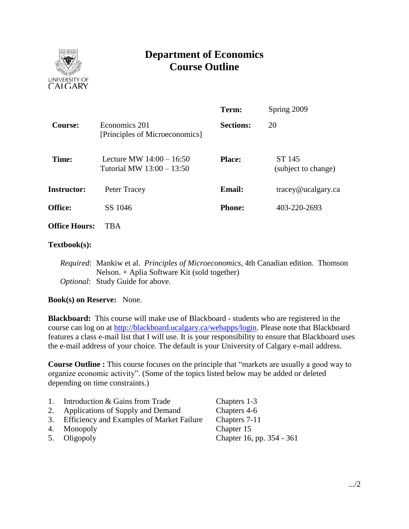

# **Department of Economics Course Outline**

|                      |                                                         | Term:                         | Spring 2009                   |  |
|----------------------|---------------------------------------------------------|-------------------------------|-------------------------------|--|
| Course:              | Economics 201<br>[Principles of Microeconomics]         | <b>Sections:</b>              | 20                            |  |
| Time:                | Lecture MW $14:00 - 16:50$<br>Tutorial MW 13:00 - 13:50 | <b>Place:</b>                 | ST 145<br>(subject to change) |  |
| <b>Instructor:</b>   | Peter Tracey                                            | <b>Email:</b>                 | $trace$ y@ucalgary.ca         |  |
| <b>Office:</b>       | SS 1046                                                 | 403-220-2693<br><b>Phone:</b> |                               |  |
| <b>Office Hours:</b> | <b>TBA</b>                                              |                               |                               |  |

### **Textbook(s):**

*Required*: Mankiw et al. *Principles of Microeconomics*, 4th Canadian edition. Thomson Nelson. + Aplia Software Kit (sold together) *Optional*: Study Guide for above.

### **Book(s) on Reserve:** None.

**Blackboard:** This course will make use of Blackboard - students who are registered in the course can log on at [http://blackboard.ucalgary.ca/webapps/login.](http://blackboard.ucalgary.ca/webapps/login) Please note that Blackboard features a class e-mail list that I will use. It is your responsibility to ensure that Blackboard uses the e-mail address of your choice. The default is your University of Calgary e-mail address.

**Course Outline :** This course focuses on the principle that "markets are usually a good way to organize economic activity". (Some of the topics listed below may be added or deleted depending on time constraints.)

| 1. | Introduction & Gains from Trade              | Chapters 1-3              |
|----|----------------------------------------------|---------------------------|
|    | 2. Applications of Supply and Demand         | Chapters 4-6              |
|    | 3. Efficiency and Examples of Market Failure | Chapters 7-11             |
|    | 4. Monopoly                                  | Chapter 15                |
|    | 5. Oligopoly                                 | Chapter 16, pp. 354 - 361 |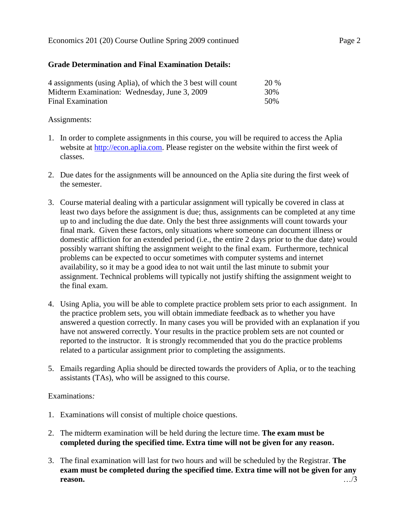# **Grade Determination and Final Examination Details:**

| 4 assignments (using Aplia), of which the 3 best will count | <b>20 %</b> |
|-------------------------------------------------------------|-------------|
| Midterm Examination: Wednesday, June 3, 2009                | 30%         |
| Final Examination                                           | 50%         |

# Assignments:

- 1. In order to complete assignments in this course, you will be required to access the Aplia website at [http://econ.aplia.com.](http://econ.aplia.com/) Please register on the website within the first week of classes.
- 2. Due dates for the assignments will be announced on the Aplia site during the first week of the semester.
- 3. Course material dealing with a particular assignment will typically be covered in class at least two days before the assignment is due; thus, assignments can be completed at any time up to and including the due date. Only the best three assignments will count towards your final mark. Given these factors, only situations where someone can document illness or domestic affliction for an extended period (i.e., the entire 2 days prior to the due date) would possibly warrant shifting the assignment weight to the final exam. Furthermore, technical problems can be expected to occur sometimes with computer systems and internet availability, so it may be a good idea to not wait until the last minute to submit your assignment. Technical problems will typically not justify shifting the assignment weight to the final exam.
- 4. Using Aplia, you will be able to complete practice problem sets prior to each assignment. In the practice problem sets, you will obtain immediate feedback as to whether you have answered a question correctly. In many cases you will be provided with an explanation if you have not answered correctly. Your results in the practice problem sets are not counted or reported to the instructor. It is strongly recommended that you do the practice problems related to a particular assignment prior to completing the assignments.
- 5. Emails regarding Aplia should be directed towards the providers of Aplia, or to the teaching assistants (TAs), who will be assigned to this course.

# Examinations*:*

- 1. Examinations will consist of multiple choice questions.
- 2. The midterm examination will be held during the lecture time. **The exam must be completed during the specified time. Extra time will not be given for any reason.**
- 3. The final examination will last for two hours and will be scheduled by the Registrar. **The exam must be completed during the specified time. Extra time will not be given for any reason.** …/3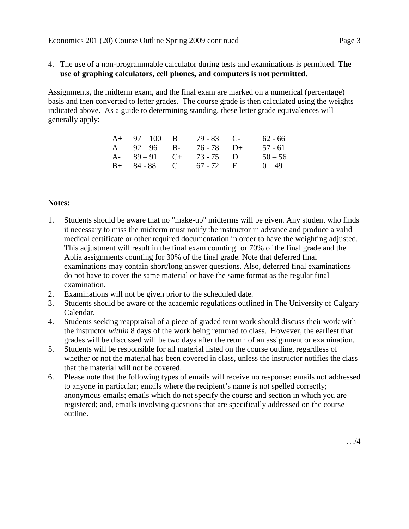4. The use of a non-programmable calculator during tests and examinations is permitted. **The use of graphing calculators, cell phones, and computers is not permitted.**

Assignments, the midterm exam, and the final exam are marked on a numerical (percentage) basis and then converted to letter grades. The course grade is then calculated using the weights indicated above. As a guide to determining standing, these letter grade equivalences will generally apply:

| $A+ 97-100$ B           | $79 - 83$ C- | $62 - 66$ |
|-------------------------|--------------|-----------|
| A $92-96$ B- $76-78$ D+ |              | 57 - 61   |
| A- $89-91$ C+ 73-75 D   |              | $50 - 56$ |
| $B+ 84-88$ C 67 - 72 F  |              | $0 - 49$  |

# **Notes:**

- 1. Students should be aware that no "make-up" midterms will be given. Any student who finds it necessary to miss the midterm must notify the instructor in advance and produce a valid medical certificate or other required documentation in order to have the weighting adjusted. This adjustment will result in the final exam counting for 70% of the final grade and the Aplia assignments counting for 30% of the final grade. Note that deferred final examinations may contain short/long answer questions. Also, deferred final examinations do not have to cover the same material or have the same format as the regular final examination.
- 2. Examinations will not be given prior to the scheduled date.
- 3. Students should be aware of the academic regulations outlined in The University of Calgary Calendar.
- 4. Students seeking reappraisal of a piece of graded term work should discuss their work with the instructor *within* 8 days of the work being returned to class. However, the earliest that grades will be discussed will be two days after the return of an assignment or examination.
- 5. Students will be responsible for all material listed on the course outline, regardless of whether or not the material has been covered in class, unless the instructor notifies the class that the material will not be covered.
- 6. Please note that the following types of emails will receive no response: emails not addressed to anyone in particular; emails where the recipient's name is not spelled correctly; anonymous emails; emails which do not specify the course and section in which you are registered; and, emails involving questions that are specifically addressed on the course outline.